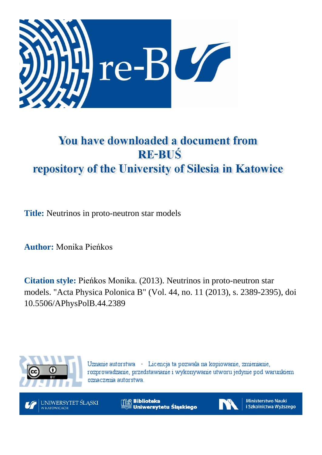

# You have downloaded a document from **RE-BUŚ** repository of the University of Silesia in Katowice

**Title:** Neutrinos in proto-neutron star models

**Author:** Monika Pieńkos

**Citation style:** Pieńkos Monika. (2013). Neutrinos in proto-neutron star models. "Acta Physica Polonica B" (Vol. 44, no. 11 (2013), s. 2389-2395), doi 10.5506/APhysPolB.44.2389



Uznanie autorstwa - Licencja ta pozwala na kopiowanie, zmienianie, rozprowadzanie, przedstawianie i wykonywanie utworu jedynie pod warunkiem oznaczenia autorstwa.



**Biblioteka** Uniwersytetu Śląskiego



**Ministerstwo Nauki** i Szkolnictwa Wyższego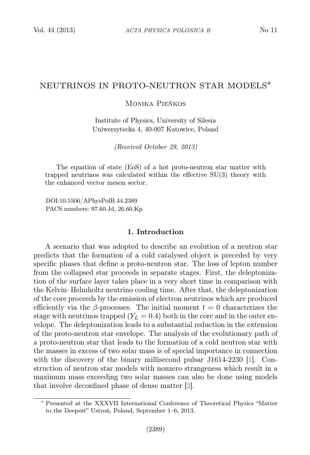## NEUTRINOS IN PROTO-NEUTRON STAR MODELS∗

## Monika Pieńkos

Institute of Physics, University of Silesia Uniwersytecka 4, 40-007 Katowice, Poland

(Received October 29, 2013)

The equation of state (EoS) of a hot proto-neutron star matter with trapped neutrinos was calculated within the effective SU(3) theory with the enhanced vector meson sector.

DOI:10.5506/APhysPolB.44.2389 PACS numbers: 97.60.Jd, 26.60.Kp

## 1. Introduction

A scenario that was adopted to describe an evolution of a neutron star predicts that the formation of a cold catalysed object is preceded by very specific phases that define a proto-neutron star. The loss of lepton number from the collapsed star proceeds in separate stages. First, the deleptonization of the surface layer takes place in a very short time in comparison with the Kelvin–Helmholtz neutrino cooling time. After that, the deleptonization of the core proceeds by the emission of electron neutrinos which are produced efficiently via the  $\beta$ -processes. The initial moment  $t = 0$  characterizes the stage with neutrinos trapped  $(Y_L = 0.4)$  both in the core and in the outer envelope. The deleptonization leads to a substantial reduction in the extension of the proto-neutron star envelope. The analysis of the evolutionary path of a proto-neutron star that leads to the formation of a cold neutron star with the masses in excess of two solar mass is of special importance in connection with the discovery of the binary millisecond pulsar J1614-2230 [\[1\]](#page-7-0). Construction of neutron star models with nonzero strangeness which result in a maximum mass exceeding two solar masses can also be done using models that involve deconfined phase of dense matter [\[2\]](#page-7-1).

<sup>∗</sup> Presented at the XXXVII International Conference of Theoretical Physics "Matter to the Deepest" Ustroń, Poland, September 1–6, 2013.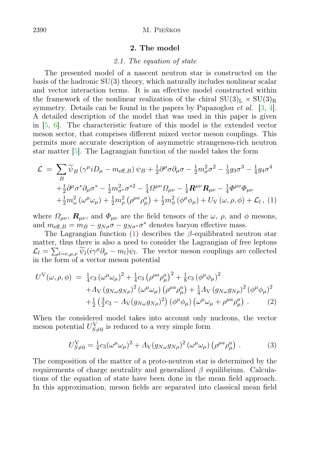## 2. The model

#### 2.1. The equation of state

The presented model of a nascent neutron star is constructed on the basis of the hadronic SU(3) theory, which naturally includes nonlinear scalar and vector interaction terms. It is an effective model constructed within the framework of the nonlinear realization of the chiral  $SU(3)<sub>L</sub> \times SU(3)<sub>R</sub>$ symmetry. Details can be found in the papers by Papazoglou *et al.* [\[3,](#page-7-2) [4\]](#page-7-3). A detailed description of the model that was used in this paper is given in [\[5,](#page-7-4) [6\]](#page-7-5). The characteristic feature of this model is the extended vector meson sector, that comprises different mixed vector meson couplings. This permits more accurate description of asymmetric strangeness-rich neutron star matter [\[5\]](#page-7-4). The Lagrangian function of the model takes the form

<span id="page-2-0"></span>
$$
\mathcal{L} = \sum_{B} \overline{\psi}_{B} \left( \gamma^{\mu} i D_{\mu} - m_{\text{eff},B} \right) \psi_{B} + \frac{1}{2} \partial^{\mu} \sigma \partial_{\mu} \sigma - \frac{1}{2} m_{\sigma}^{2} \sigma^{2} - \frac{1}{3} g_{3} \sigma^{3} - \frac{1}{4} g_{4} \sigma^{4} + \frac{1}{2} \partial^{\mu} \sigma^{*} \partial_{\mu} \sigma^{*} - \frac{1}{2} m_{\sigma^{*}}^{2} \sigma^{*2} - \frac{1}{4} \Omega^{\mu \nu} \Omega_{\mu \nu} - \frac{1}{4} R^{\mu \nu} R_{\mu \nu} - \frac{1}{4} \Phi^{\mu \nu} \Phi_{\mu \nu} + \frac{1}{2} m_{\omega}^{2} \left( \omega^{\mu} \omega_{\mu} \right) + \frac{1}{2} m_{\rho}^{2} \left( \rho^{\mu a} \rho_{\mu}^{a} \right) + \frac{1}{2} m_{\phi}^{2} \left( \phi^{\mu} \phi_{\mu} \right) + U_{V} \left( \omega, \rho, \phi \right) + \mathcal{L}_{l} \,, (1)
$$

where  $\Omega_{\mu\nu}$ ,  $\mathbf{R}_{\mu\nu}$ , and  $\Phi_{\mu\nu}$  are the field tensors of the  $\omega$ ,  $\rho$ , and  $\phi$  mesons, and  $m_{\text{eff},B} = m_B - g_{N\sigma}\sigma - g_{N\sigma^*}\sigma^*$  denotes baryon effective mass.

The Lagrangian function [\(1\)](#page-2-0) describes the  $\beta$ -equilibrated neutron star matter, thus there is also a need to consider the Lagrangian of free leptons  $\mathcal{L}_l = \sum_{l=e,\mu,\nu} \overline{\psi}_l (i\gamma^\mu \partial_\mu - m_l) \psi_l$ . The vector meson couplings are collected in the form of a vector meson potential

<span id="page-2-1"></span>
$$
U^{V}(\omega,\rho,\phi) = \frac{1}{4}c_3(\omega^{\mu}\omega_{\mu})^{2} + \frac{1}{4}c_3(\rho^{\mu a}\rho_{\mu}^{a})^{2} + \frac{1}{8}c_3(\phi^{\mu}\phi_{\mu})^{2} + A_{V}(g_{N\omega}g_{N\rho})^{2}(\omega^{\mu}\omega_{\mu}) (\rho^{\mu a}\rho_{\mu}^{a}) + \frac{1}{4}A_{V}(g_{N\omega}g_{N\rho})^{2}(\phi^{\mu}\phi_{\mu})^{2} + \frac{1}{2}(\frac{3}{2}c_3 - A_{V}(g_{N\omega}g_{N\rho})^{2})(\phi^{\mu}\phi_{\mu}) (\omega^{\mu}\omega_{\mu} + \rho^{\mu a}\rho_{\mu}^{a}).
$$
 (2)

When the considered model takes into account only nucleons, the vector meson potential  $U_{S\neq0}^{\rm V}$  is reduced to a very simple form

$$
U_{S\neq 0}^V = \frac{1}{4} c_3 (\omega^\mu \omega_\mu)^2 + A_V (g_{N\omega} g_{N\rho})^2 (\omega^\mu \omega_\mu) (\rho^{\mu a} \rho^a_\mu) . \tag{3}
$$

The composition of the matter of a proto-neutron star is determined by the requirements of charge neutrality and generalized  $\beta$  equilibrium. Calculations of the equation of state have been done in the mean field approach. In this approximation, meson fields are separated into classical mean field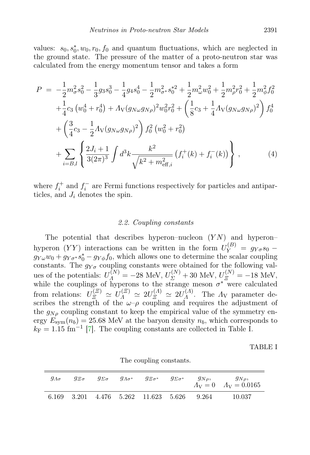values:  $s_0, s_0^*, w_0, r_0, f_0$  and quantum fluctuations, which are neglected in the ground state. The pressure of the matter of a proto-neutron star was calculated from the energy momentum tensor and takes a form

$$
P = -\frac{1}{2}m_{\sigma}^{2} s_{0}^{2} - \frac{1}{3}g_{3} s_{0}^{3} - \frac{1}{4}g_{4} s_{0}^{4} - \frac{1}{2}m_{\sigma}^{2} s_{0}^{*2} + \frac{1}{2}m_{\omega}^{2} w_{0}^{2} + \frac{1}{2}m_{\rho}^{2} r_{0}^{2} + \frac{1}{2}m_{\phi}^{2} f_{0}^{2}
$$
  
+ 
$$
\frac{1}{4}c_{3} (w_{0}^{4} + r_{0}^{4}) + A_{V}(g_{N\omega}g_{N\rho})^{2} w_{0}^{2} r_{0}^{2} + \left(\frac{1}{8}c_{3} + \frac{1}{4}A_{V}(g_{N\omega}g_{N\rho})^{2}\right) f_{0}^{4}
$$

$$
+ \left(\frac{3}{4}c_{3} - \frac{1}{2}A_{V}(g_{N\omega}g_{N\rho})^{2}\right) f_{0}^{2} (w_{0}^{2} + r_{0}^{2})
$$

$$
+ \sum_{i=B,l} \left\{\frac{2J_{i} + 1}{3(2\pi)^{3}} \int d^{3}k \frac{k^{2}}{\sqrt{k^{2} + m_{\text{eff},i}^{2}}} (f_{i}^{+}(k) + f_{i}^{-}(k))\right\}, \qquad (4)
$$

where  $f_i^+$  and  $f_i^-$  are Fermi functions respectively for particles and antiparticles, and  $J_i$  denotes the spin.

## 2.2. Coupling constants

The potential that describes hyperon–nucleon  $(YN)$  and hyperon– hyperon  $(YY)$  interactions can be written in the form  $U_Y^{(B)} = g_{Y\sigma} s_0$  –  $g_{Y\omega}w_0 + g_{Y\sigma^*}s_0^* - g_{Y\phi}f_0$ , which allows one to determine the scalar coupling constants. The  $g_{Y\sigma}$  coupling constants were obtained for the following values of the potentials:  $U_A^{(N)} = -28 \text{ MeV}, U_{\Sigma}^{(N)} + 30 \text{ MeV}, U_{\Xi}^{(N)} = -18 \text{ MeV},$ while the couplings of hyperons to the strange meson  $\sigma^*$  were calculated from relations:  $U_{\Xi}^{(\Xi)} \simeq U_{\Lambda}^{(\Xi)} \simeq 2U_{\Xi}^{(\Lambda)} \simeq 2U_{\Lambda}^{(\Lambda)}$  $\Lambda^{(A)}$ . The  $\Lambda_{\rm V}$  parameter describes the strength of the  $\omega-\rho$  coupling and requires the adjustment of the  $g_{N\rho}$  coupling constant to keep the empirical value of the symmetry energy  $E_{sym}(n_b) = 25.68$  MeV at the baryon density  $n_b$ , which corresponds to  $k_{\text{F}} = 1.15 \text{ fm}^{-1}$  [\[7\]](#page-7-6). The coupling constants are collected in Table I.

TABLE I

| $g_{\Lambda\sigma}$ | $g_{\Xi\sigma}$ |  |  | $g_{\varSigma \sigma}$ $g_{\varLambda \sigma^*}$ $g_{\varXi \sigma^*}$ | $g_{\varSigma \sigma^*}$ |  | $g_{N\rho}, \qquad g_{N\rho},$<br>$A_V = 0$ $A_V = 0.0165$ |  |  |  |  |
|---------------------|-----------------|--|--|------------------------------------------------------------------------|--------------------------|--|------------------------------------------------------------|--|--|--|--|
| 6.169               |                 |  |  | 3.201 4.476 5.262 11.623 5.626 9.264                                   |                          |  | 10.037                                                     |  |  |  |  |

The coupling constants.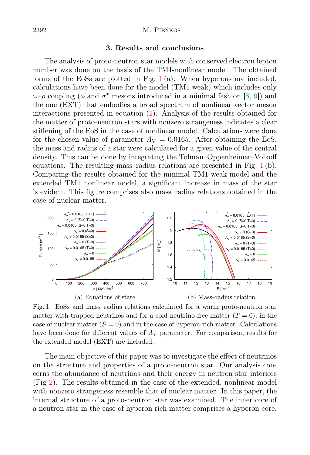#### 2392 M. Pieńkos

## 3. Results and conclusions

The analysis of proto-neutron star models with conserved electron lepton number was done on the basis of the TM1-nonlinear model. The obtained forms of the EoSs are plotted in Fig.  $1(a)$  $1(a)$ . When hyperons are included, calculations have been done for the model (TM1-weak) which includes only  $ω-\rho$  coupling ( $φ$  and  $σ^*$  mesons introduced in a minimal fashion [\[8,](#page-7-7) [9\]](#page-7-8)) and the one (EXT) that embodies a broad spectrum of nonlinear vector meson interactions presented in equation [\(2\)](#page-2-1). Analysis of the results obtained for the matter of proto-neutron stars with nonzero strangeness indicates a clear stiffening of the EoS in the case of nonlinear model. Calculations were done for the chosen value of parameter  $\Lambda_V = 0.0165$ . After obtaining the EoS, the mass and radius of a star were calculated for a given value of the central density. This can be done by integrating the Tolman–Oppenheimer–Volkoff equations. The resulting mass-radius relations are presented in Fig.  $1(b)$  $1(b)$ . Comparing the results obtained for the minimal TM1-weak model and the extended TM1 nonlinear model, a significant increase in mass of the star is evident. This figure comprises also mass–radius relations obtained in the case of nuclear matter.



<span id="page-4-0"></span>Fig. 1. EoSs and mass–radius relations calculated for a warm proto-neutron star matter with trapped neutrinos and for a cold neutrino-free matter  $(T = 0)$ , in the case of nuclear matter  $(S = 0)$  and in the case of hyperon-rich matter. Calculations have been done for different values of  $\Lambda_{\rm V}$  parameter. For comparison, results for the extended model (EXT) are included.

The main objective of this paper was to investigate the effect of neutrinos on the structure and properties of a proto-neutron star. Our analysis concerns the abundance of neutrinos and their energy in neutron star interiors (Fig [2\)](#page-5-0). The results obtained in the case of the extended, nonlinear model with nonzero strangeness resemble that of nuclear matter. In this paper, the internal structure of a proto-neutron star was examined. The inner core of a neutron star in the case of hyperon rich matter comprises a hyperon core.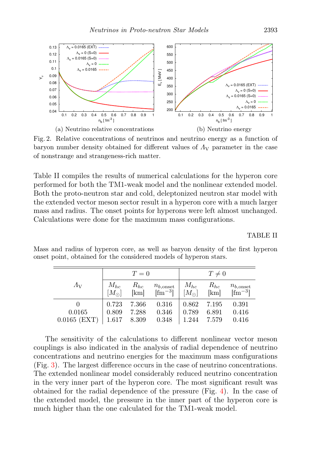

<span id="page-5-0"></span>Fig. 2. Relative concentrations of neutrinos and neutrino energy as a function of baryon number density obtained for different values of  $\Lambda_{\rm V}$  parameter in the case of nonstrange and strangeness-rich matter.

Table II compiles the results of numerical calculations for the hyperon core performed for both the TM1-weak model and the nonlinear extended model. Both the proto-neutron star and cold, deleptonized neutron star model with the extended vector meson sector result in a hyperon core with a much larger mass and radius. The onset points for hyperons were left almost unchanged. Calculations were done for the maximum mass configurations.

TABLE II

|                |               | $T=0$    |                      | $T\neq 0$     |          |                      |
|----------------|---------------|----------|----------------------|---------------|----------|----------------------|
| $\Lambda_{V}$  | $M_{hc}$      | $R_{hc}$ | $n_{b,\text{onset}}$ | $M_{hc}$      | $R_{hc}$ | $n_{b,\text{onset}}$ |
|                | $[M_{\odot}]$ | [km]     | $\mathrm{[fm^{-3}]}$ | $[M_{\odot}]$ | [km]     | $\text{[fm}^{-3}$    |
|                | 0.723         | 7.366    | 0.316                | 0.862         | 7.195    | 0.391                |
| 0.0165         | 0.809         | 7.288    | 0.346                | 0.789         | 6.891    | 0.416                |
| $0.0165$ (EXT) | 1.617         | 8.309    | 0.348                | 1.244         | 7.579    | 0.416                |

Mass and radius of hyperon core, as well as baryon density of the first hyperon onset point, obtained for the considered models of hyperon stars.

The sensitivity of the calculations to different nonlinear vector meson couplings is also indicated in the analysis of radial dependence of neutrino concentrations and neutrino energies for the maximum mass configurations (Fig. [3\)](#page-6-0). The largest difference occurs in the case of neutrino concentrations. The extended nonlinear model considerably reduced neutrino concentration in the very inner part of the hyperon core. The most significant result was obtained for the radial dependence of the pressure (Fig. [4\)](#page-6-1). In the case of the extended model, the pressure in the inner part of the hyperon core is much higher than the one calculated for the TM1-weak model.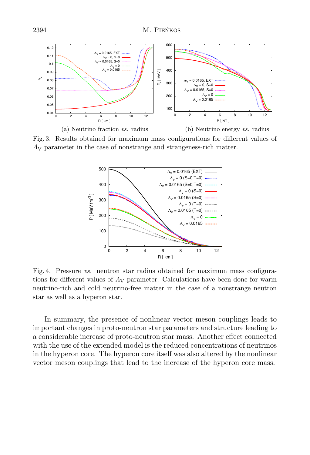

<span id="page-6-0"></span>Fig. 3. Results obtained for maximum mass configurations for different values of  $\Lambda_{\rm V}$  parameter in the case of nonstrange and strangeness-rich matter.



<span id="page-6-1"></span>Fig. 4. Pressure vs. neutron star radius obtained for maximum mass configurations for different values of  $\Lambda_V$  parameter. Calculations have been done for warm neutrino-rich and cold neutrino-free matter in the case of a nonstrange neutron star as well as a hyperon star.

In summary, the presence of nonlinear vector meson couplings leads to important changes in proto-neutron star parameters and structure leading to a considerable increase of proto-neutron star mass. Another effect connected with the use of the extended model is the reduced concentrations of neutrinos in the hyperon core. The hyperon core itself was also altered by the nonlinear vector meson couplings that lead to the increase of the hyperon core mass.